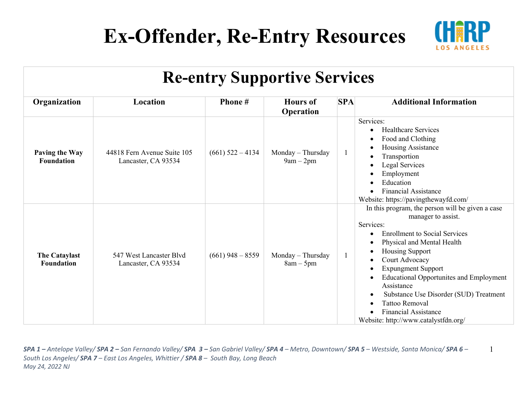

1

| <b>Re-entry Supportive Services</b>       |                                                    |                    |                                     |     |                                                                                                                                                                                                                                                                                                                                                                                                                                                                        |  |
|-------------------------------------------|----------------------------------------------------|--------------------|-------------------------------------|-----|------------------------------------------------------------------------------------------------------------------------------------------------------------------------------------------------------------------------------------------------------------------------------------------------------------------------------------------------------------------------------------------------------------------------------------------------------------------------|--|
| Organization                              | Location                                           | Phone #            | <b>Hours</b> of<br><b>Operation</b> | SPA | <b>Additional Information</b>                                                                                                                                                                                                                                                                                                                                                                                                                                          |  |
| Paving the Way<br><b>Foundation</b>       | 44818 Fern Avenue Suite 105<br>Lancaster, CA 93534 | $(661)$ 522 – 4134 | Monday – Thursday<br>$9am - 2pm$    |     | Services:<br><b>Healthcare Services</b><br>$\bullet$<br>Food and Clothing<br>$\bullet$<br>Housing Assistance<br>Transportion<br>Legal Services<br>Employment<br>$\bullet$<br>Education<br><b>Financial Assistance</b><br>$\bullet$<br>Website: https://pavingthewayfd.com/                                                                                                                                                                                             |  |
| <b>The Cataylast</b><br><b>Foundation</b> | 547 West Lancaster Blvd<br>Lancaster, CA 93534     | $(661)$ 948 – 8559 | Monday - Thursday<br>$8am - 5pm$    |     | In this program, the person will be given a case<br>manager to assist.<br>Services:<br><b>Enrollment to Social Services</b><br>Physical and Mental Health<br><b>Housing Support</b><br>Court Advocacy<br><b>Expungment Support</b><br>$\bullet$<br><b>Educational Opportunites and Employment</b><br>Assistance<br>Substance Use Disorder (SUD) Treatment<br>$\bullet$<br><b>Tattoo Removal</b><br><b>Financial Assistance</b><br>Website: http://www.catalystfdn.org/ |  |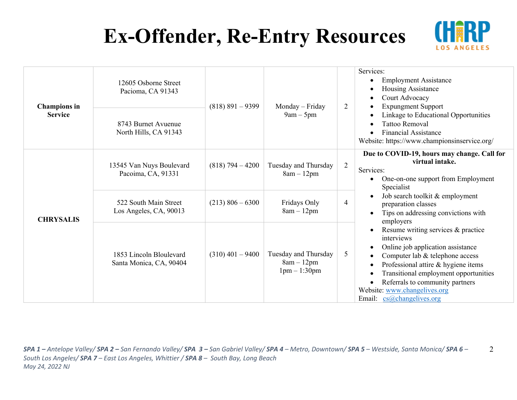

| <b>Champions</b> in<br><b>Service</b> | 12605 Osborne Street<br>Pacioma, CA 91343          | $(818)$ 891 - 9399 | Monday – Friday<br>$9am - 5pm$                       | $\overline{2}$ | Services:<br><b>Employment Assistance</b><br>Housing Assistance<br>Court Advocacy<br><b>Expungment Support</b>                                                                                                                                                                                                        |
|---------------------------------------|----------------------------------------------------|--------------------|------------------------------------------------------|----------------|-----------------------------------------------------------------------------------------------------------------------------------------------------------------------------------------------------------------------------------------------------------------------------------------------------------------------|
|                                       | 8743 Burnet Avuenue<br>North Hills, CA 91343       |                    |                                                      |                | Linkage to Educational Opportunities<br>Tattoo Removal<br><b>Financial Assistance</b><br>Website: https://www.championsinservice.org/                                                                                                                                                                                 |
| <b>CHRYSALIS</b>                      | 13545 Van Nuys Boulevard<br>Pacoima, CA, 91331     | $(818)$ 794 – 4200 | Tuesday and Thursday<br>$8am - 12pm$                 | $\overline{2}$ | Due to COVID-19, hours may change. Call for<br>virtual intake.<br>Services:<br>One-on-one support from Employment<br>Specialist                                                                                                                                                                                       |
|                                       | 522 South Main Street<br>Los Angeles, CA, 90013    | $(213)$ 806 – 6300 | Fridays Only<br>$8am - 12pm$                         | 4              | Job search toolkit & employment<br>preparation classes<br>Tips on addressing convictions with<br>employers                                                                                                                                                                                                            |
|                                       | 1853 Lincoln Bloulevard<br>Santa Monica, CA, 90404 | $(310)$ 401 – 9400 | Tuesday and Thursday<br>$8am - 12pm$<br>$1pm-1:30pm$ | 5              | Resume writing services & practice<br>interviews<br>Online job application assistance<br>Computer lab & telephone access<br>Professional attire & hygiene items<br>Transitional employment opportunities<br>Referrals to community partners<br>$\bullet$<br>Website: www.changelives.org<br>Email: cs@changelives.org |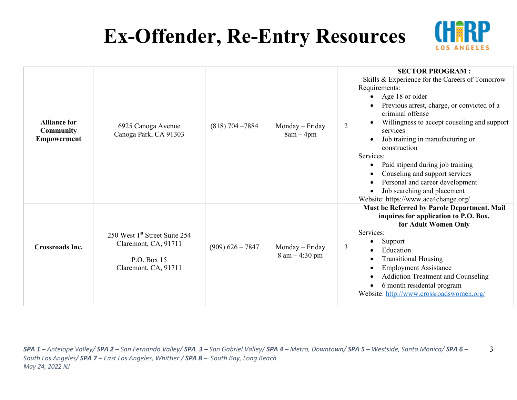

| <b>Alliance for</b><br><b>Community</b><br>Empowerment | 6925 Canoga Avenue<br>Canoga Park, CA 91303                                                              | $(818)$ 704 - 7884 | Monday – Friday<br>$8am - 4pm$                      | $\overline{2}$ | <b>SECTOR PROGRAM:</b><br>Skills & Experience for the Careers of Tomorrow<br>Requirements:<br>Age 18 or older<br>$\bullet$<br>Previous arrest, charge, or convicted of a<br>criminal offense<br>Willingness to accept couseling and support<br>services<br>Job training in manufacturing or                                                  |
|--------------------------------------------------------|----------------------------------------------------------------------------------------------------------|--------------------|-----------------------------------------------------|----------------|----------------------------------------------------------------------------------------------------------------------------------------------------------------------------------------------------------------------------------------------------------------------------------------------------------------------------------------------|
|                                                        |                                                                                                          |                    |                                                     |                | construction<br>Services:<br>Paid stipend during job training<br>$\bullet$<br>Couseling and support services<br>Personal and career development<br>$\bullet$<br>Job searching and placement<br>Website: https://www.ace4change.org/                                                                                                          |
| <b>Crossroads Inc.</b>                                 | 250 West 1 <sup>st</sup> Street Suite 254<br>Claremont, CA, 91711<br>P.O. Box 15<br>Claremont, CA, 91711 | $(909)$ 626 - 7847 | Monday - Friday<br>$8 \text{ am} - 4:30 \text{ pm}$ | 3              | Must be Referred by Parole Department. Mail<br>inquires for application to P.O. Box.<br>for Adult Women Only<br>Services:<br>Support<br>Education<br><b>Transitional Housing</b><br>٠<br><b>Employment Assistance</b><br><b>Addiction Treatment and Counseling</b><br>6 month residental program<br>Website: http://www.crossroadswomen.org/ |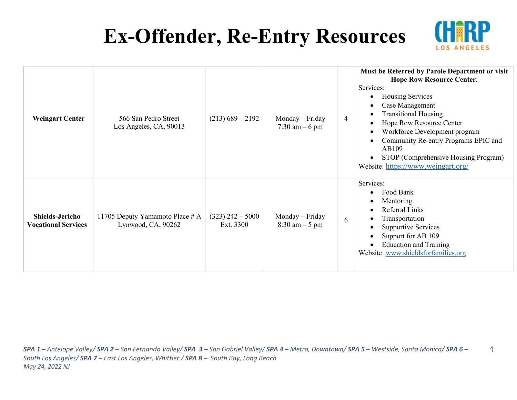

4

| <b>Weingart Center</b>                               | 566 San Pedro Street<br>Los Angeles, CA, 90013        | $(213)$ 689 – 2192              | Monday – Friday<br>7:30 am $-6$ pm                  | 4 | Must be Referred by Parole Department or visit<br><b>Hope Row Resource Center.</b><br>Services:<br>Housing Services<br>$\bullet$<br>Case Management<br><b>Transitional Housing</b><br>Hope Row Resource Center<br>Workforce Development program<br>$\bullet$<br>Community Re-entry Programs EPIC and<br>AB109<br>STOP (Comprehensive Housing Program)<br>Website: https://www.weingart.org/ |
|------------------------------------------------------|-------------------------------------------------------|---------------------------------|-----------------------------------------------------|---|---------------------------------------------------------------------------------------------------------------------------------------------------------------------------------------------------------------------------------------------------------------------------------------------------------------------------------------------------------------------------------------------|
| <b>Shields-Jericho</b><br><b>Vocational Services</b> | 11705 Deputy Yamamoto Place # A<br>Lynwood, CA, 90262 | $(323)$ 242 – 5000<br>Ext. 3300 | Monday – Friday<br>$8:30 \text{ am} - 5 \text{ pm}$ | 6 | Services:<br>Food Bank<br>$\bullet$<br>Mentoring<br>Referral Links<br>Transportation<br><b>Supportive Services</b><br>Support for AB 109<br><b>Education and Training</b><br>$\bullet$<br>Website: www.shieldsforfamilies.org                                                                                                                                                               |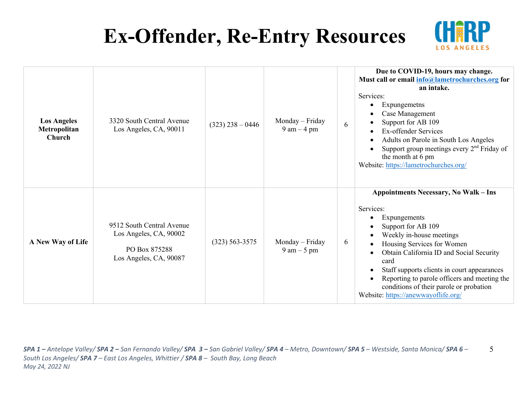

| <b>Los Angeles</b><br>Metropolitan<br>Church | 3320 South Central Avenue<br>Los Angeles, CA, 90011                                            | $(323)$ 238 - 0446 | Monday – Friday<br>$9 \text{ am} - 4 \text{ pm}$ | 6 | Due to COVID-19, hours may change.<br>Must call or email info@lametrochurches.org for<br>an intake.<br>Services:<br>Expungemetns<br>Case Management<br>Support for AB 109<br>Ex-offender Services<br>Adults on Parole in South Los Angeles<br>Support group meetings every $2nd$ Friday of<br>the month at 6 pm<br>Website: https://lametrochurches.org/                                       |
|----------------------------------------------|------------------------------------------------------------------------------------------------|--------------------|--------------------------------------------------|---|------------------------------------------------------------------------------------------------------------------------------------------------------------------------------------------------------------------------------------------------------------------------------------------------------------------------------------------------------------------------------------------------|
| A New Way of Life                            | 9512 South Central Avenue<br>Los Angeles, CA, 90002<br>PO Box 875288<br>Los Angeles, CA, 90087 | $(323) 563 - 3575$ | Monday – Friday<br>$9 \text{ am} - 5 \text{ pm}$ | 6 | <b>Appointments Necessary, No Walk - Ins</b><br>Services:<br>Expungements<br>Support for AB 109<br>Weekly in-house meetings<br>Housing Services for Women<br>Obtain California ID and Social Security<br>card<br>Staff supports clients in court appearances<br>Reporting to parole officers and meeting the<br>conditions of their parole or probation<br>Website: https://anewwayoflife.org/ |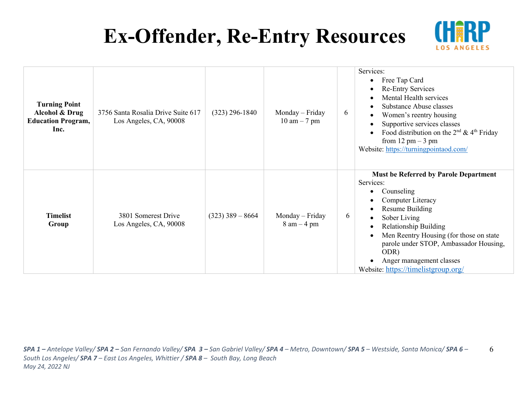

| <b>Turning Point</b><br>Alcohol & Drug<br><b>Education Program,</b><br>Inc. | 3756 Santa Rosalia Drive Suite 617<br>Los Angeles, CA, 90008 | $(323)$ 296-1840   | Monday – Friday<br>$10 \text{ am} - 7 \text{ pm}$ | 6 | Services:<br>Free Tap Card<br>٠<br><b>Re-Entry Services</b><br>$\bullet$<br>Mental Health services<br>Substance Abuse classes<br>$\bullet$<br>Women's reentry housing<br>$\bullet$<br>Supportive services classes<br>$\bullet$<br>Food distribution on the $2^{nd}$ & $4^{th}$ Friday<br>$\bullet$<br>from $12 \text{ pm} - 3 \text{ pm}$<br>Website: https://turningpointaod.com/                      |
|-----------------------------------------------------------------------------|--------------------------------------------------------------|--------------------|---------------------------------------------------|---|---------------------------------------------------------------------------------------------------------------------------------------------------------------------------------------------------------------------------------------------------------------------------------------------------------------------------------------------------------------------------------------------------------|
| <b>Timelist</b><br>Group                                                    | 3801 Somerest Drive<br>Los Angeles, CA, 90008                | $(323)$ 389 – 8664 | Monday – Friday<br>$8$ am $-4$ pm                 | 6 | <b>Must be Referred by Parole Department</b><br>Services:<br>Counseling<br>$\bullet$<br>Computer Literacy<br>$\bullet$<br><b>Resume Building</b><br>$\bullet$<br>Sober Living<br>$\bullet$<br><b>Relationship Building</b><br>$\bullet$<br>Men Reentry Housing (for those on state<br>parole under STOP, Ambassador Housing,<br>ODR)<br>Anger management classes<br>Website: https://timelistgroup.org/ |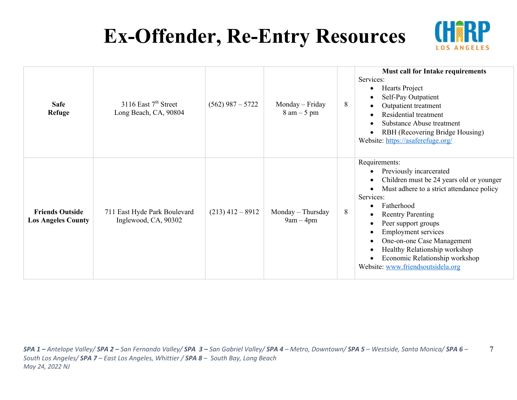

7

| <b>Safe</b><br><b>Refuge</b>                        | 3116 East $7th$ Street<br>Long Beach, CA, 90804      | $(562)$ 987 – 5722 | Monday - Friday<br>$8 \text{ am} - 5 \text{ pm}$ | 8 | <b>Must call for Intake requirements</b><br>Services:<br>Hearts Project<br>Self-Pay Outpatient<br>Outpatient treatment<br>Residential treatment<br>Substance Abuse treatment<br>RBH (Recovering Bridge Housing)<br>Website: https://asaferefuge.org/                                                                                                                                |
|-----------------------------------------------------|------------------------------------------------------|--------------------|--------------------------------------------------|---|-------------------------------------------------------------------------------------------------------------------------------------------------------------------------------------------------------------------------------------------------------------------------------------------------------------------------------------------------------------------------------------|
| <b>Friends Outside</b><br><b>Los Angeles County</b> | 711 East Hyde Park Boulevard<br>Inglewood, CA, 90302 | $(213)$ 412 – 8912 | Monday - Thursday<br>$9am - 4pm$                 | 8 | Requirements:<br>Previously incarcerated<br>Children must be 24 years old or younger<br>Must adhere to a strict attendance policy<br>Services:<br>Fatherhood<br><b>Reentry Parenting</b><br>Peer support groups<br><b>Employment services</b><br>One-on-one Case Management<br>Healthy Relationship workshop<br>Economic Relationship workshop<br>Website: www.friendsoutsidela.org |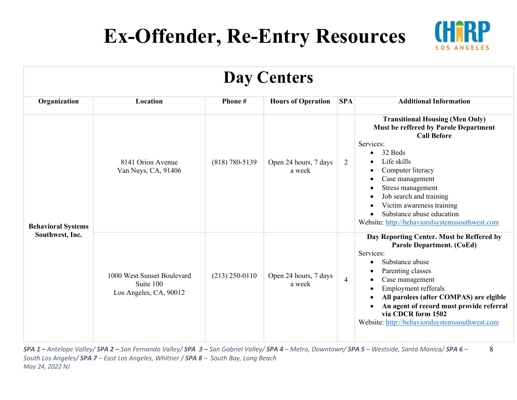

8

| Day Centers                                  |                                                                   |                    |                                 |                |                                                                                                                                                                                                                                                                                                                                                                                                     |  |  |
|----------------------------------------------|-------------------------------------------------------------------|--------------------|---------------------------------|----------------|-----------------------------------------------------------------------------------------------------------------------------------------------------------------------------------------------------------------------------------------------------------------------------------------------------------------------------------------------------------------------------------------------------|--|--|
| Organization                                 | Location                                                          | Phone#             | <b>Hours of Operation</b>       | <b>SPA</b>     | <b>Additional Information</b>                                                                                                                                                                                                                                                                                                                                                                       |  |  |
| <b>Behavioral Systems</b><br>Southwest, Inc. | 8141 Orion Avenue<br>Van Nuys, CA, 91406                          | $(818) 780 - 5139$ | Open 24 hours, 7 days<br>a week | $\overline{2}$ | <b>Transitional Housing (Men Only)</b><br><b>Must be reffered by Parole Department</b><br><b>Call Before</b><br>Services:<br>32 Beds<br>$\bullet$<br>Life skills<br>Computer literacy<br>٠<br>Case management<br>Stress management<br>Job search and training<br>$\bullet$<br>Victim awareness training<br>Substance abuse education<br>$\bullet$<br>Website: http://behavioralsystemssouthwest.com |  |  |
|                                              | 1000 West Sunset Boulevard<br>Suite 100<br>Los Angeles, CA, 90012 | $(213)$ 250-0110   | Open 24 hours, 7 days<br>a week | $\overline{4}$ | Day Reporting Center. Must be Reffered by<br><b>Parole Department. (CoEd)</b><br>Services:<br>Substance abuse<br>Parenting classes<br>Case management<br>Employment refferals<br>$\bullet$<br>All parolees (after COMPAS) are elgible<br>An agent of record must provide referral<br>via CDCR form 1502<br>Website: http://behavioralsystemssouthwest.com                                           |  |  |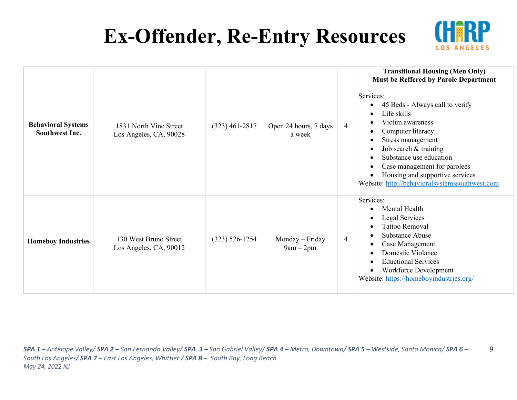

9

| <b>Behavioral Systems</b><br><b>Southwest Inc.</b> | 1831 North Vine Street<br>Los Angeles, CA, 90028 | $(323)$ 461-2817   | Open 24 hours, 7 days<br>a week | 4 | <b>Transitional Housing (Men Only)</b><br>Must be Reffered by Parole Department<br>Services:<br>45 Beds - Always call to verify<br>٠<br>Life skills<br>$\bullet$<br>Victim awareness<br>Computer literacy<br>$\bullet$<br>Stress management<br>$\bullet$<br>Job search & training<br>$\bullet$<br>Substance use education<br>$\bullet$<br>Case management for parolees<br>Housing and supportive services<br>Website: http://behavioralsystemssouthwest.com |
|----------------------------------------------------|--------------------------------------------------|--------------------|---------------------------------|---|-------------------------------------------------------------------------------------------------------------------------------------------------------------------------------------------------------------------------------------------------------------------------------------------------------------------------------------------------------------------------------------------------------------------------------------------------------------|
| <b>Homeboy Industries</b>                          | 130 West Bruno Street<br>Los Angeles, CA, 90012  | $(323) 526 - 1254$ | Monday – Friday<br>$9am - 2pm$  | 4 | Services:<br>Mental Health<br>$\bullet$<br>Legal Services<br>$\bullet$<br><b>Tattoo Removal</b><br>$\bullet$<br>Substance Abuse<br>$\bullet$<br>Case Management<br>$\bullet$<br>Domestic Violance<br>$\bullet$<br><b>Eductional Services</b><br>$\epsilon$<br>Workforce Development<br>Website: https://homeboyindustries.org/                                                                                                                              |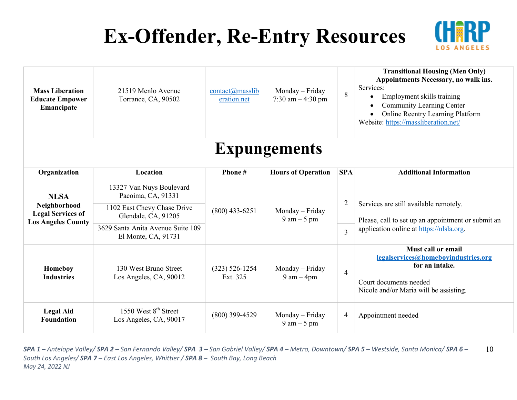

| <b>Mass Liberation</b><br><b>Educate Empower</b><br>Emancipate                       | 21519 Menlo Avenue<br>Torrance, CA, 90502                                                                                                                     | $contact(\omega)$ masslib<br>eration.net | Monday - Friday<br>7:30 am $-4:30$ pm            | 8              | <b>Transitional Housing (Men Only)</b><br>Appointments Necessary, no walk ins.<br>Services:<br>Employment skills training<br><b>Community Learning Center</b><br>Online Reentry Learning Platform<br>Website: https://massliberation.net/ |  |  |
|--------------------------------------------------------------------------------------|---------------------------------------------------------------------------------------------------------------------------------------------------------------|------------------------------------------|--------------------------------------------------|----------------|-------------------------------------------------------------------------------------------------------------------------------------------------------------------------------------------------------------------------------------------|--|--|
| <b>Expungements</b>                                                                  |                                                                                                                                                               |                                          |                                                  |                |                                                                                                                                                                                                                                           |  |  |
| Organization                                                                         | Location                                                                                                                                                      | Phone#                                   | <b>Hours of Operation</b>                        | <b>SPA</b>     | <b>Additional Information</b>                                                                                                                                                                                                             |  |  |
| <b>NLSA</b><br>Neighborhood<br><b>Legal Services of</b><br><b>Los Angeles County</b> | 13327 Van Nuys Boulevard<br>Pacoima, CA, 91331<br>1102 East Chevy Chase Drive<br>$(800)$ 433-6251<br>Glendale, CA, 91205<br>3629 Santa Anita Avenue Suite 109 |                                          | Monday - Friday<br>$9 \text{ am} - 5 \text{ pm}$ | $\overline{2}$ | Services are still available remotely.<br>Please, call to set up an appointment or submit an<br>application online at https://nlsla.org.                                                                                                  |  |  |
|                                                                                      | El Monte, CA, 91731                                                                                                                                           |                                          |                                                  | 3              |                                                                                                                                                                                                                                           |  |  |
| Homeboy<br><b>Industries</b>                                                         | 130 West Bruno Street<br>Los Angeles, CA, 90012                                                                                                               | $(323) 526 - 1254$<br>Ext. 325           | Monday - Friday<br>$9 \text{ am} - 4 \text{pm}$  | $\overline{4}$ | Must call or email<br>legalservices@homeboyindustries.org<br>for an intake.<br>Court documents needed<br>Nicole and/or Maria will be assisting.                                                                                           |  |  |
| <b>Legal Aid</b><br><b>Foundation</b>                                                | 1550 West 8 <sup>th</sup> Street<br>Los Angeles, CA, 90017                                                                                                    | $(800)$ 399-4529                         | Monday - Friday<br>$9 \text{ am} - 5 \text{ pm}$ | $\overline{4}$ | Appointment needed                                                                                                                                                                                                                        |  |  |